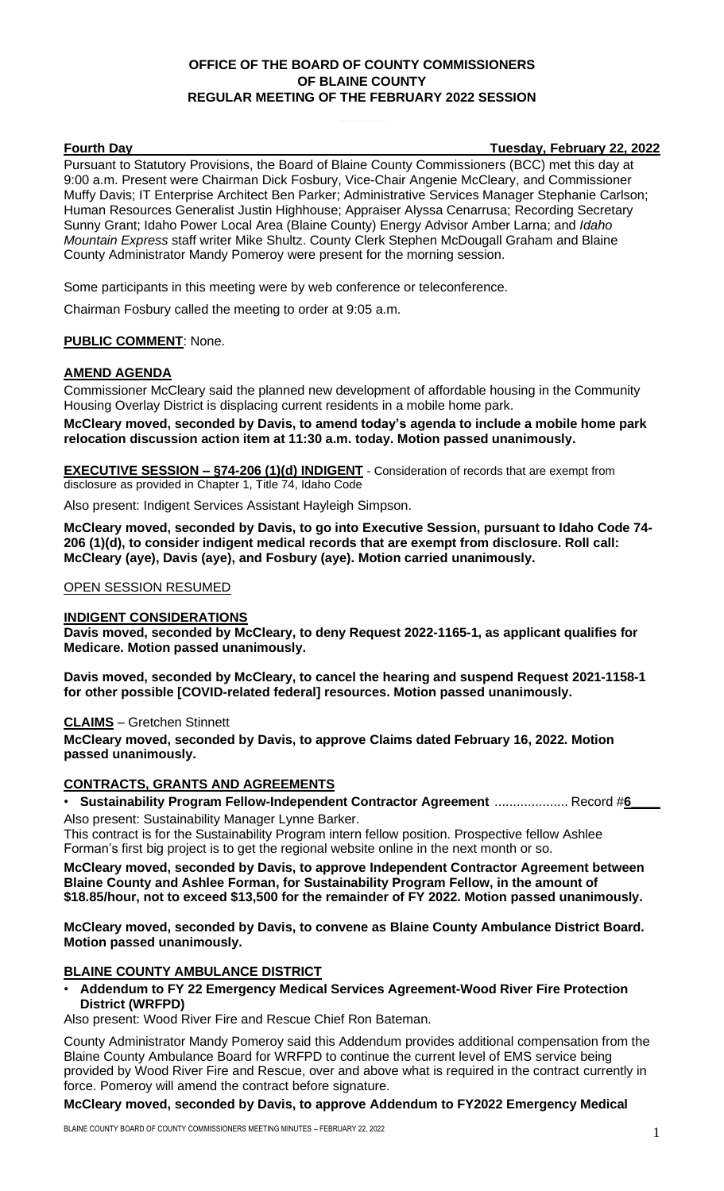# **OFFICE OF THE BOARD OF COUNTY COMMISSIONERS OF BLAINE COUNTY REGULAR MEETING OF THE FEBRUARY 2022 SESSION**

**Fourth Day Tuesday, February 22, 2022**

Pursuant to Statutory Provisions, the Board of Blaine County Commissioners (BCC) met this day at 9:00 a.m. Present were Chairman Dick Fosbury, Vice-Chair Angenie McCleary, and Commissioner Muffy Davis; IT Enterprise Architect Ben Parker; Administrative Services Manager Stephanie Carlson; Human Resources Generalist Justin Highhouse; Appraiser Alyssa Cenarrusa; Recording Secretary Sunny Grant; Idaho Power Local Area (Blaine County) Energy Advisor Amber Larna; and *Idaho Mountain Express* staff writer Mike Shultz. County Clerk Stephen McDougall Graham and Blaine County Administrator Mandy Pomeroy were present for the morning session.

Some participants in this meeting were by web conference or teleconference.

Chairman Fosbury called the meeting to order at 9:05 a.m.

## **PUBLIC COMMENT**: None.

## **AMEND AGENDA**

Commissioner McCleary said the planned new development of affordable housing in the Community Housing Overlay District is displacing current residents in a mobile home park.

**McCleary moved, seconded by Davis, to amend today's agenda to include a mobile home park relocation discussion action item at 11:30 a.m. today. Motion passed unanimously.**

**EXECUTIVE SESSION – §74-206 (1)(d) INDIGENT** - Consideration of records that are exempt from disclosure as provided in Chapter 1, Title 74, Idaho Code

Also present: Indigent Services Assistant Hayleigh Simpson.

**McCleary moved, seconded by Davis, to go into Executive Session, pursuant to Idaho Code 74- 206 (1)(d), to consider indigent medical records that are exempt from disclosure. Roll call: McCleary (aye), Davis (aye), and Fosbury (aye). Motion carried unanimously.**

OPEN SESSION RESUMED

#### **INDIGENT CONSIDERATIONS**

**Davis moved, seconded by McCleary, to deny Request 2022-1165-1, as applicant qualifies for Medicare. Motion passed unanimously.**

**Davis moved, seconded by McCleary, to cancel the hearing and suspend Request 2021-1158-1 for other possible [COVID-related federal] resources. Motion passed unanimously.**

#### **CLAIMS** – Gretchen Stinnett

**McCleary moved, seconded by Davis, to approve Claims dated February 16, 2022. Motion passed unanimously.**

## **CONTRACTS, GRANTS AND AGREEMENTS**

• **Sustainability Program Fellow-Independent Contractor Agreement** .................... Record #**6\_\_\_\_** Also present: Sustainability Manager Lynne Barker.

This contract is for the Sustainability Program intern fellow position. Prospective fellow Ashlee Forman's first big project is to get the regional website online in the next month or so.

**McCleary moved, seconded by Davis, to approve Independent Contractor Agreement between Blaine County and Ashlee Forman, for Sustainability Program Fellow, in the amount of \$18.85/hour, not to exceed \$13,500 for the remainder of FY 2022. Motion passed unanimously.**

**McCleary moved, seconded by Davis, to convene as Blaine County Ambulance District Board. Motion passed unanimously.**

## **BLAINE COUNTY AMBULANCE DISTRICT**

• **Addendum to FY 22 Emergency Medical Services Agreement-Wood River Fire Protection District (WRFPD)**

Also present: Wood River Fire and Rescue Chief Ron Bateman.

County Administrator Mandy Pomeroy said this Addendum provides additional compensation from the Blaine County Ambulance Board for WRFPD to continue the current level of EMS service being provided by Wood River Fire and Rescue, over and above what is required in the contract currently in force. Pomeroy will amend the contract before signature.

#### **McCleary moved, seconded by Davis, to approve Addendum to FY2022 Emergency Medical**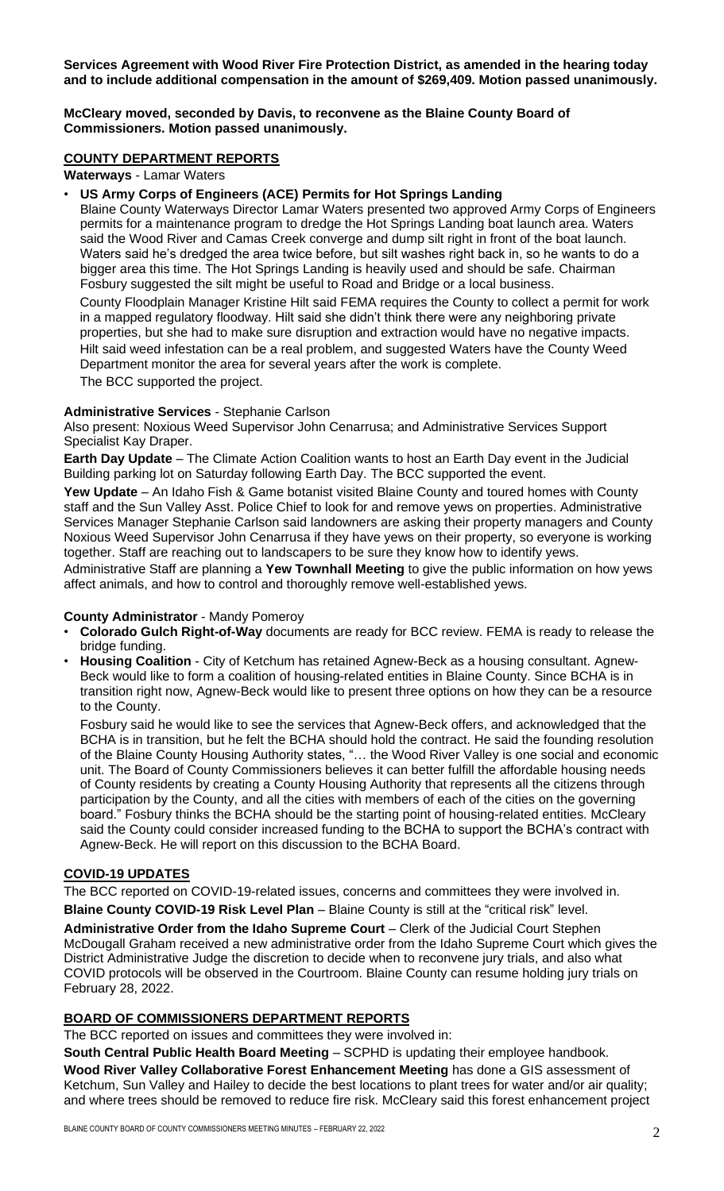**Services Agreement with Wood River Fire Protection District, as amended in the hearing today and to include additional compensation in the amount of \$269,409. Motion passed unanimously.**

## **McCleary moved, seconded by Davis, to reconvene as the Blaine County Board of Commissioners. Motion passed unanimously.**

## **COUNTY DEPARTMENT REPORTS**

**Waterways** - Lamar Waters

## • **US Army Corps of Engineers (ACE) Permits for Hot Springs Landing**

Blaine County Waterways Director Lamar Waters presented two approved Army Corps of Engineers permits for a maintenance program to dredge the Hot Springs Landing boat launch area. Waters said the Wood River and Camas Creek converge and dump silt right in front of the boat launch. Waters said he's dredged the area twice before, but silt washes right back in, so he wants to do a bigger area this time. The Hot Springs Landing is heavily used and should be safe. Chairman Fosbury suggested the silt might be useful to Road and Bridge or a local business.

County Floodplain Manager Kristine Hilt said FEMA requires the County to collect a permit for work in a mapped regulatory floodway. Hilt said she didn't think there were any neighboring private properties, but she had to make sure disruption and extraction would have no negative impacts. Hilt said weed infestation can be a real problem, and suggested Waters have the County Weed Department monitor the area for several years after the work is complete. The BCC supported the project.

## **Administrative Services** - Stephanie Carlson

Also present: Noxious Weed Supervisor John Cenarrusa; and Administrative Services Support Specialist Kay Draper.

**Earth Day Update** – The Climate Action Coalition wants to host an Earth Day event in the Judicial Building parking lot on Saturday following Earth Day. The BCC supported the event.

**Yew Update** – An Idaho Fish & Game botanist visited Blaine County and toured homes with County staff and the Sun Valley Asst. Police Chief to look for and remove yews on properties. Administrative Services Manager Stephanie Carlson said landowners are asking their property managers and County Noxious Weed Supervisor John Cenarrusa if they have yews on their property, so everyone is working together. Staff are reaching out to landscapers to be sure they know how to identify yews.

Administrative Staff are planning a **Yew Townhall Meeting** to give the public information on how yews affect animals, and how to control and thoroughly remove well-established yews.

## **County Administrator** - Mandy Pomeroy

- **Colorado Gulch Right-of-Way** documents are ready for BCC review. FEMA is ready to release the bridge funding.
- **Housing Coalition** City of Ketchum has retained Agnew-Beck as a housing consultant. Agnew-Beck would like to form a coalition of housing-related entities in Blaine County. Since BCHA is in transition right now, Agnew-Beck would like to present three options on how they can be a resource to the County.

Fosbury said he would like to see the services that Agnew-Beck offers, and acknowledged that the BCHA is in transition, but he felt the BCHA should hold the contract. He said the founding resolution of the Blaine County Housing Authority states, "… the Wood River Valley is one social and economic unit. The Board of County Commissioners believes it can better fulfill the affordable housing needs of County residents by creating a County Housing Authority that represents all the citizens through participation by the County, and all the cities with members of each of the cities on the governing board." Fosbury thinks the BCHA should be the starting point of housing-related entities. McCleary said the County could consider increased funding to the BCHA to support the BCHA's contract with Agnew-Beck. He will report on this discussion to the BCHA Board.

# **COVID-19 UPDATES**

The BCC reported on COVID-19-related issues, concerns and committees they were involved in. **Blaine County COVID-19 Risk Level Plan** – Blaine County is still at the "critical risk" level.

**Administrative Order from the Idaho Supreme Court** – Clerk of the Judicial Court Stephen McDougall Graham received a new administrative order from the Idaho Supreme Court which gives the District Administrative Judge the discretion to decide when to reconvene jury trials, and also what COVID protocols will be observed in the Courtroom. Blaine County can resume holding jury trials on February 28, 2022.

# **BOARD OF COMMISSIONERS DEPARTMENT REPORTS**

The BCC reported on issues and committees they were involved in:

**South Central Public Health Board Meeting** – SCPHD is updating their employee handbook. **Wood River Valley Collaborative Forest Enhancement Meeting** has done a GIS assessment of Ketchum, Sun Valley and Hailey to decide the best locations to plant trees for water and/or air quality; and where trees should be removed to reduce fire risk. McCleary said this forest enhancement project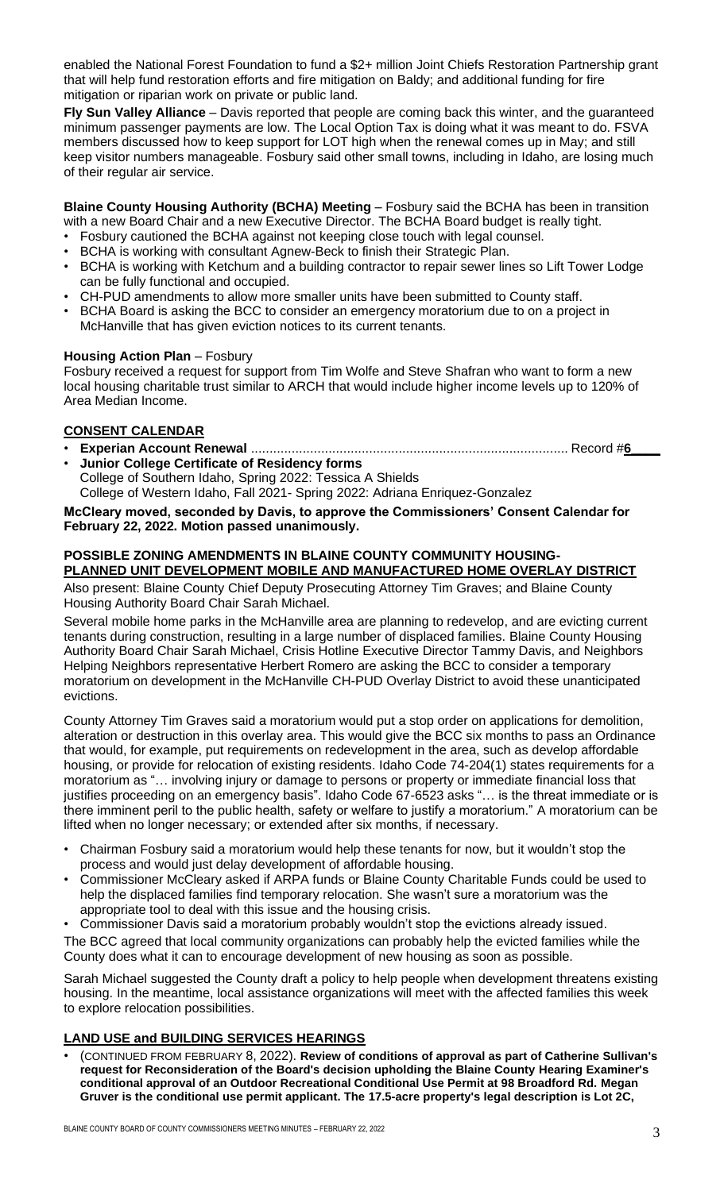enabled the National Forest Foundation to fund a \$2+ million Joint Chiefs Restoration Partnership grant that will help fund restoration efforts and fire mitigation on Baldy; and additional funding for fire mitigation or riparian work on private or public land.

**Fly Sun Valley Alliance** – Davis reported that people are coming back this winter, and the guaranteed minimum passenger payments are low. The Local Option Tax is doing what it was meant to do. FSVA members discussed how to keep support for LOT high when the renewal comes up in May; and still keep visitor numbers manageable. Fosbury said other small towns, including in Idaho, are losing much of their regular air service.

**Blaine County Housing Authority (BCHA) Meeting** – Fosbury said the BCHA has been in transition with a new Board Chair and a new Executive Director. The BCHA Board budget is really tight.

- Fosbury cautioned the BCHA against not keeping close touch with legal counsel.
- BCHA is working with consultant Agnew-Beck to finish their Strategic Plan.
- BCHA is working with Ketchum and a building contractor to repair sewer lines so Lift Tower Lodge can be fully functional and occupied.
- CH-PUD amendments to allow more smaller units have been submitted to County staff.
- BCHA Board is asking the BCC to consider an emergency moratorium due to on a project in McHanville that has given eviction notices to its current tenants.

## **Housing Action Plan** – Fosbury

Fosbury received a request for support from Tim Wolfe and Steve Shafran who want to form a new local housing charitable trust similar to ARCH that would include higher income levels up to 120% of Area Median Income.

# **CONSENT CALENDAR**

- **Experian Account Renewal** ...................................................................................... Record #**6\_\_\_\_**
- **Junior College Certificate of Residency forms**
- College of Southern Idaho, Spring 2022: Tessica A Shields

College of Western Idaho, Fall 2021- Spring 2022: Adriana Enriquez-Gonzalez

**McCleary moved, seconded by Davis, to approve the Commissioners' Consent Calendar for February 22, 2022. Motion passed unanimously.**

#### **POSSIBLE ZONING AMENDMENTS IN BLAINE COUNTY COMMUNITY HOUSING-PLANNED UNIT DEVELOPMENT MOBILE AND MANUFACTURED HOME OVERLAY DISTRICT**

Also present: Blaine County Chief Deputy Prosecuting Attorney Tim Graves; and Blaine County Housing Authority Board Chair Sarah Michael.

Several mobile home parks in the McHanville area are planning to redevelop, and are evicting current tenants during construction, resulting in a large number of displaced families. Blaine County Housing Authority Board Chair Sarah Michael, Crisis Hotline Executive Director Tammy Davis, and Neighbors Helping Neighbors representative Herbert Romero are asking the BCC to consider a temporary moratorium on development in the McHanville CH-PUD Overlay District to avoid these unanticipated evictions.

County Attorney Tim Graves said a moratorium would put a stop order on applications for demolition, alteration or destruction in this overlay area. This would give the BCC six months to pass an Ordinance that would, for example, put requirements on redevelopment in the area, such as develop affordable housing, or provide for relocation of existing residents. Idaho Code 74-204(1) states requirements for a moratorium as "… involving injury or damage to persons or property or immediate financial loss that justifies proceeding on an emergency basis". Idaho Code 67-6523 asks "… is the threat immediate or is there imminent peril to the public health, safety or welfare to justify a moratorium." A moratorium can be lifted when no longer necessary; or extended after six months, if necessary.

- Chairman Fosbury said a moratorium would help these tenants for now, but it wouldn't stop the process and would just delay development of affordable housing.
- Commissioner McCleary asked if ARPA funds or Blaine County Charitable Funds could be used to help the displaced families find temporary relocation. She wasn't sure a moratorium was the appropriate tool to deal with this issue and the housing crisis.
- Commissioner Davis said a moratorium probably wouldn't stop the evictions already issued.

The BCC agreed that local community organizations can probably help the evicted families while the County does what it can to encourage development of new housing as soon as possible.

Sarah Michael suggested the County draft a policy to help people when development threatens existing housing. In the meantime, local assistance organizations will meet with the affected families this week to explore relocation possibilities.

# **LAND USE and BUILDING SERVICES HEARINGS**

• (CONTINUED FROM FEBRUARY 8, 2022). **Review of conditions of approval as part of Catherine Sullivan's request for Reconsideration of the Board's decision upholding the Blaine County Hearing Examiner's conditional approval of an Outdoor Recreational Conditional Use Permit at 98 Broadford Rd. Megan Gruver is the conditional use permit applicant. The 17.5-acre property's legal description is Lot 2C,**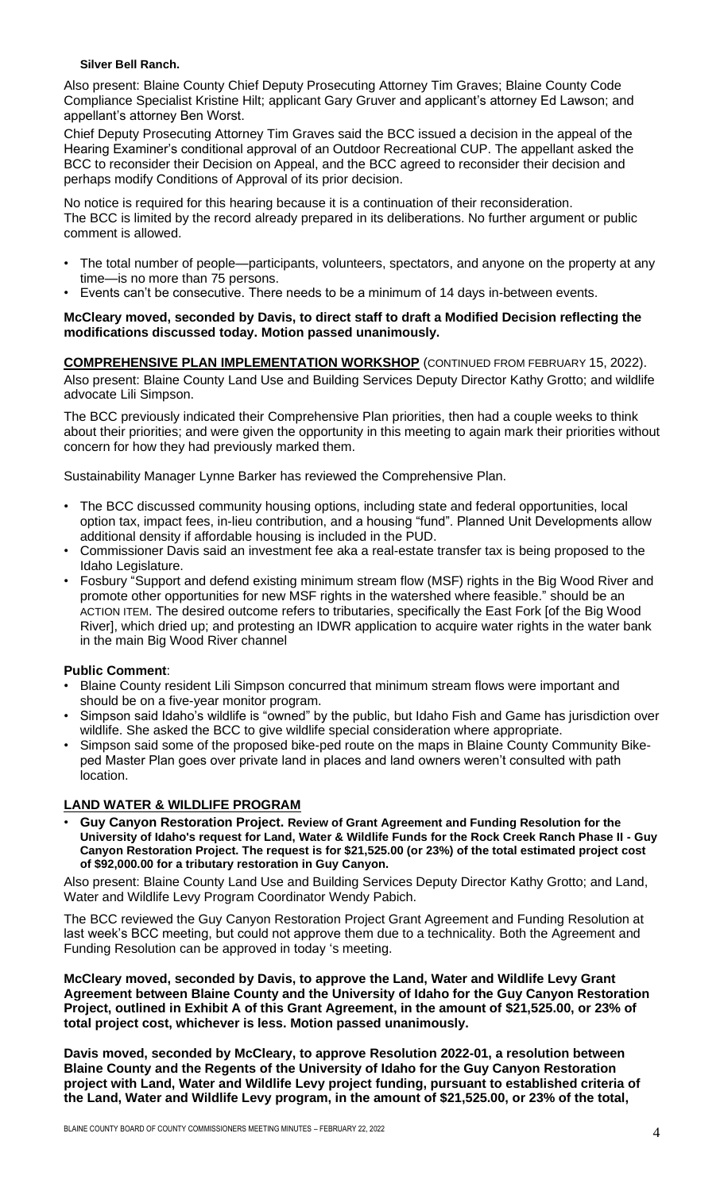#### **Silver Bell Ranch.**

Also present: Blaine County Chief Deputy Prosecuting Attorney Tim Graves; Blaine County Code Compliance Specialist Kristine Hilt; applicant Gary Gruver and applicant's attorney Ed Lawson; and appellant's attorney Ben Worst.

Chief Deputy Prosecuting Attorney Tim Graves said the BCC issued a decision in the appeal of the Hearing Examiner's conditional approval of an Outdoor Recreational CUP. The appellant asked the BCC to reconsider their Decision on Appeal, and the BCC agreed to reconsider their decision and perhaps modify Conditions of Approval of its prior decision.

No notice is required for this hearing because it is a continuation of their reconsideration. The BCC is limited by the record already prepared in its deliberations. No further argument or public comment is allowed.

- The total number of people—participants, volunteers, spectators, and anyone on the property at any time—is no more than 75 persons.
- Events can't be consecutive. There needs to be a minimum of 14 days in-between events.

## **McCleary moved, seconded by Davis, to direct staff to draft a Modified Decision reflecting the modifications discussed today. Motion passed unanimously.**

**COMPREHENSIVE PLAN IMPLEMENTATION WORKSHOP** (CONTINUED FROM FEBRUARY 15, 2022). Also present: Blaine County Land Use and Building Services Deputy Director Kathy Grotto; and wildlife advocate Lili Simpson.

The BCC previously indicated their Comprehensive Plan priorities, then had a couple weeks to think about their priorities; and were given the opportunity in this meeting to again mark their priorities without concern for how they had previously marked them.

Sustainability Manager Lynne Barker has reviewed the Comprehensive Plan.

- The BCC discussed community housing options, including state and federal opportunities, local option tax, impact fees, in-lieu contribution, and a housing "fund". Planned Unit Developments allow additional density if affordable housing is included in the PUD.
- Commissioner Davis said an investment fee aka a real-estate transfer tax is being proposed to the Idaho Legislature.
- Fosbury "Support and defend existing minimum stream flow (MSF) rights in the Big Wood River and promote other opportunities for new MSF rights in the watershed where feasible." should be an ACTION ITEM. The desired outcome refers to tributaries, specifically the East Fork [of the Big Wood River], which dried up; and protesting an IDWR application to acquire water rights in the water bank in the main Big Wood River channel

# **Public Comment**:

- Blaine County resident Lili Simpson concurred that minimum stream flows were important and should be on a five-year monitor program.
- Simpson said Idaho's wildlife is "owned" by the public, but Idaho Fish and Game has jurisdiction over wildlife. She asked the BCC to give wildlife special consideration where appropriate.
- Simpson said some of the proposed bike-ped route on the maps in Blaine County Community Bikeped Master Plan goes over private land in places and land owners weren't consulted with path location.

# **LAND WATER & WILDLIFE PROGRAM**

• **Guy Canyon Restoration Project. Review of Grant Agreement and Funding Resolution for the University of Idaho's request for Land, Water & Wildlife Funds for the Rock Creek Ranch Phase II - Guy Canyon Restoration Project. The request is for \$21,525.00 (or 23%) of the total estimated project cost of \$92,000.00 for a tributary restoration in Guy Canyon.**

Also present: Blaine County Land Use and Building Services Deputy Director Kathy Grotto; and Land, Water and Wildlife Levy Program Coordinator Wendy Pabich.

The BCC reviewed the Guy Canyon Restoration Project Grant Agreement and Funding Resolution at last week's BCC meeting, but could not approve them due to a technicality. Both the Agreement and Funding Resolution can be approved in today 's meeting.

**McCleary moved, seconded by Davis, to approve the Land, Water and Wildlife Levy Grant Agreement between Blaine County and the University of Idaho for the Guy Canyon Restoration Project, outlined in Exhibit A of this Grant Agreement, in the amount of \$21,525.00, or 23% of total project cost, whichever is less. Motion passed unanimously.**

**Davis moved, seconded by McCleary, to approve Resolution 2022-01, a resolution between Blaine County and the Regents of the University of Idaho for the Guy Canyon Restoration project with Land, Water and Wildlife Levy project funding, pursuant to established criteria of the Land, Water and Wildlife Levy program, in the amount of \$21,525.00, or 23% of the total,**